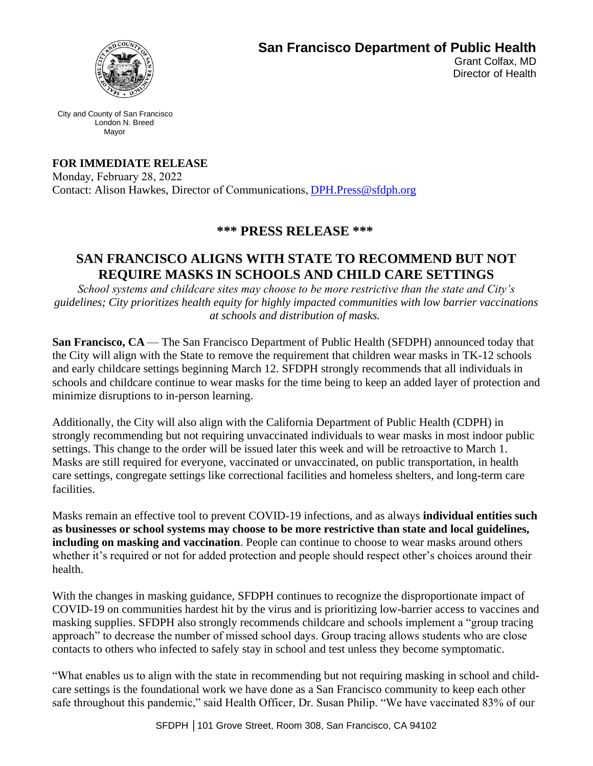

**San Francisco Department of Public Health** 

Grant Colfax, MD Director of Health

City and County of San Francisco London N. Breed Mayor

**FOR IMMEDIATE RELEASE**

Monday, February 28, 2022  Contact: Alison Hawkes, Director of Communications, DPH.Press@sfdph.org

## **\*\*\* PRESS RELEASE \*\*\***

## **SAN FRANCISCO ALIGNS WITH STATE TO RECOMMEND BUT NOT REQUIRE MASKS IN SCHOOLS AND CHILD CARE SETTINGS**

*School systems and childcare sites may choose to be more restrictive than the state and City's guidelines; City prioritizes health equity for highly impacted communities with low barrier vaccinations at schools and distribution of masks.*

**San Francisco, CA** — The San Francisco Department of Public Health (SFDPH) announced today that the City will align with the State to remove the requirement that children wear masks in TK-12 schools and early childcare settings beginning March 12. SFDPH strongly recommends that all individuals in schools and childcare continue to wear masks for the time being to keep an added layer of protection and minimize disruptions to in-person learning.

Additionally, the City will also align with the California Department of Public Health (CDPH) in strongly recommending but not requiring unvaccinated individuals to wear masks in most indoor public settings. This change to the order will be issued later this week and will be retroactive to March 1. Masks are still required for everyone, vaccinated or unvaccinated, on public transportation, in health care settings, congregate settings like correctional facilities and homeless shelters, and long-term care facilities.

Masks remain an effective tool to prevent COVID-19 infections, and as always **individual entities such as businesses or school systems may choose to be more restrictive than state and local guidelines, including on masking and vaccination**. People can continue to choose to wear masks around others whether it's required or not for added protection and people should respect other's choices around their health.

With the changes in masking guidance, SFDPH continues to recognize the disproportionate impact of COVID-19 on communities hardest hit by the virus and is prioritizing low-barrier access to vaccines and masking supplies. SFDPH also strongly recommends childcare and schools implement a "group tracing approach" to decrease the number of missed school days. Group tracing allows students who are close contacts to others who infected to safely stay in school and test unless they become symptomatic.

"What enables us to align with the state in recommending but not requiring masking in school and childcare settings is the foundational work we have done as a San Francisco community to keep each other safe throughout this pandemic," said Health Officer, Dr. Susan Philip. "We have vaccinated 83% of our